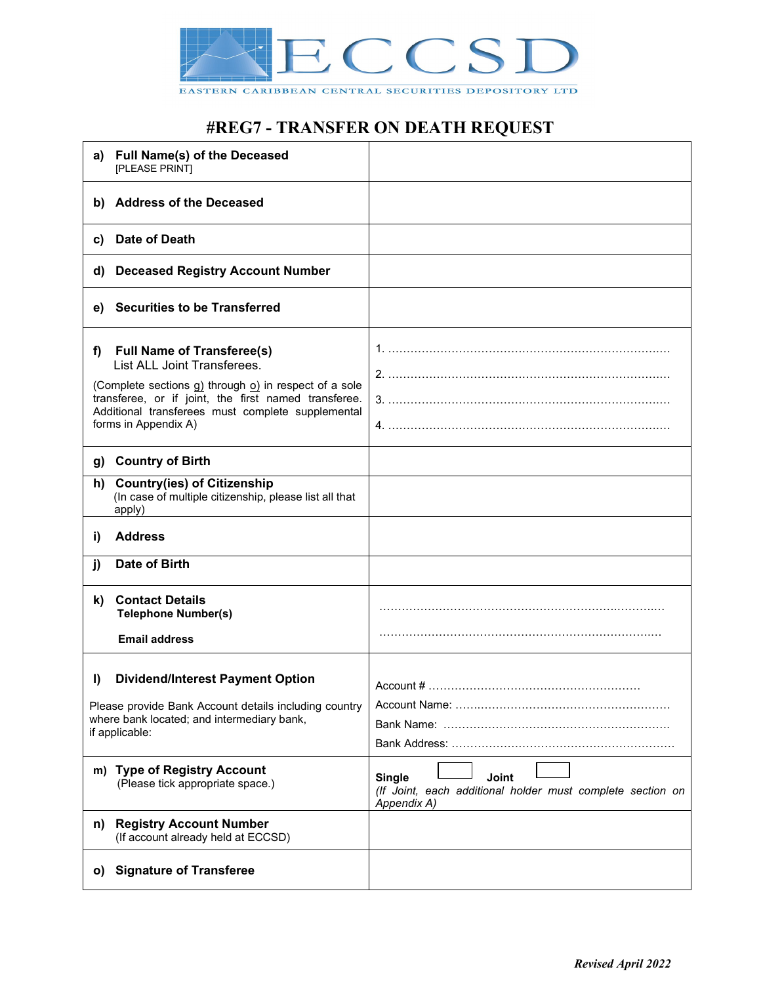

#### EASTERN CARIBBEAN CENTRAL SECURITIES DEPOSITORY LTD

# **#REG7 - TRANSFER ON DEATH REQUEST**

| <b>Full Name(s) of the Deceased</b><br>a)<br>[PLEASE PRINT]                                                                       |                                                                                                            |
|-----------------------------------------------------------------------------------------------------------------------------------|------------------------------------------------------------------------------------------------------------|
| <b>Address of the Deceased</b><br>b)                                                                                              |                                                                                                            |
| Date of Death<br>C)                                                                                                               |                                                                                                            |
| <b>Deceased Registry Account Number</b><br>d)                                                                                     |                                                                                                            |
| <b>Securities to be Transferred</b><br>e)                                                                                         |                                                                                                            |
| <b>Full Name of Transferee(s)</b><br>f)<br>List ALL Joint Transferees.<br>(Complete sections g) through o) in respect of a sole   |                                                                                                            |
| transferee, or if joint, the first named transferee.<br>Additional transferees must complete supplemental<br>forms in Appendix A) |                                                                                                            |
| <b>Country of Birth</b><br>g)                                                                                                     |                                                                                                            |
| <b>Country(ies) of Citizenship</b><br>h)<br>(In case of multiple citizenship, please list all that<br>apply)                      |                                                                                                            |
| <b>Address</b><br>i)                                                                                                              |                                                                                                            |
| <b>Date of Birth</b><br>j)                                                                                                        |                                                                                                            |
| <b>Contact Details</b><br>k)<br><b>Telephone Number(s)</b>                                                                        |                                                                                                            |
| <b>Email address</b>                                                                                                              |                                                                                                            |
| <b>Dividend/Interest Payment Option</b><br>I)<br>Please provide Bank Account details including country                            | $Account # … … … … … … … … … … … … … … … … … … … … … … … … … … … … … … …$                                  |
| where bank located; and intermediary bank,<br>if applicable:                                                                      |                                                                                                            |
| m) Type of Registry Account<br>(Please tick appropriate space.)                                                                   | <b>Single</b><br><b>Joint</b><br>(If Joint, each additional holder must complete section on<br>Appendix A) |
| <b>Registry Account Number</b><br>n)<br>(If account already held at ECCSD)                                                        |                                                                                                            |
| <b>Signature of Transferee</b><br>$\mathbf{O}$                                                                                    |                                                                                                            |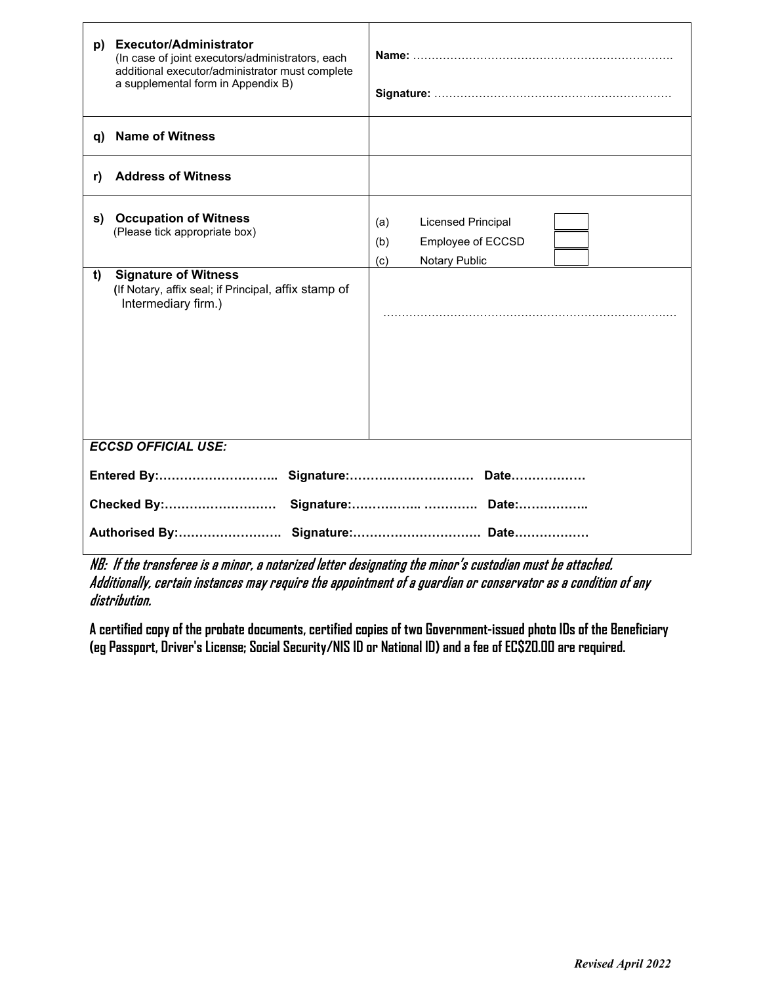| <b>Licensed Principal</b><br>(a)<br>Employee of ECCSD<br>(b)<br>Notary Public<br>(c) |  |  |
|--------------------------------------------------------------------------------------|--|--|
| <b>ECCSD OFFICIAL USE:</b>                                                           |  |  |
|                                                                                      |  |  |
|                                                                                      |  |  |

NB: If the transferee is a minor, a notarized letter designating the minor's custodian must be attached. Additionally, certain instances may require the appointment of a guardian or conservator as a condition of any distribution.

**A certified copy of the probate documents, certified copies of two Government-issued photo IDs of the Beneficiary (eg Passport, Driver's License; Social Security/NIS ID or National ID) and a fee of EC\$20.00 are required.**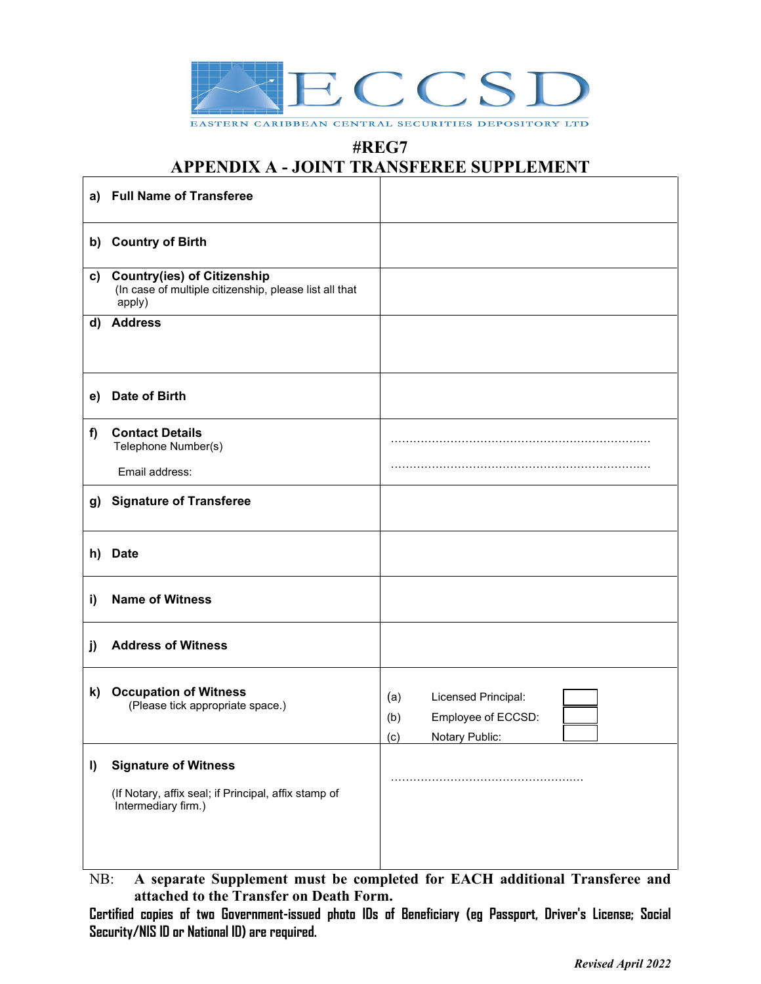

EASTERN CARIBBEAN CENTRAL SECURITIES DEPOSITORY LTD

### **#REG7**

### **APPENDIX A - JOINT TRANSFEREE SUPPLEMENT**

| a) | <b>Full Name of Transferee</b>                                                                             |                                                                                  |
|----|------------------------------------------------------------------------------------------------------------|----------------------------------------------------------------------------------|
|    | b) Country of Birth                                                                                        |                                                                                  |
| C) | <b>Country(ies) of Citizenship</b><br>(In case of multiple citizenship, please list all that<br>apply)     |                                                                                  |
| d) | <b>Address</b>                                                                                             |                                                                                  |
| e) | Date of Birth                                                                                              |                                                                                  |
| f) | <b>Contact Details</b><br>Telephone Number(s)                                                              |                                                                                  |
|    | Email address:                                                                                             |                                                                                  |
| g) | <b>Signature of Transferee</b>                                                                             |                                                                                  |
| h) | <b>Date</b>                                                                                                |                                                                                  |
| i) | <b>Name of Witness</b>                                                                                     |                                                                                  |
| j) | <b>Address of Witness</b>                                                                                  |                                                                                  |
| k) | <b>Occupation of Witness</b><br>(Please tick appropriate space.)                                           | Licensed Principal:<br>(a)<br>Employee of ECCSD:<br>(b)<br>Notary Public:<br>(c) |
| I) | <b>Signature of Witness</b><br>(If Notary, affix seal; if Principal, affix stamp of<br>Intermediary firm.) |                                                                                  |

NB: **A separate Supplement must be completed for EACH additional Transferee and attached to the Transfer on Death Form.**

**Certified copies of two Government-issued photo IDs of Beneficiary (eg Passport, Driver's License; Social Security/NIS ID or National ID) are required.**